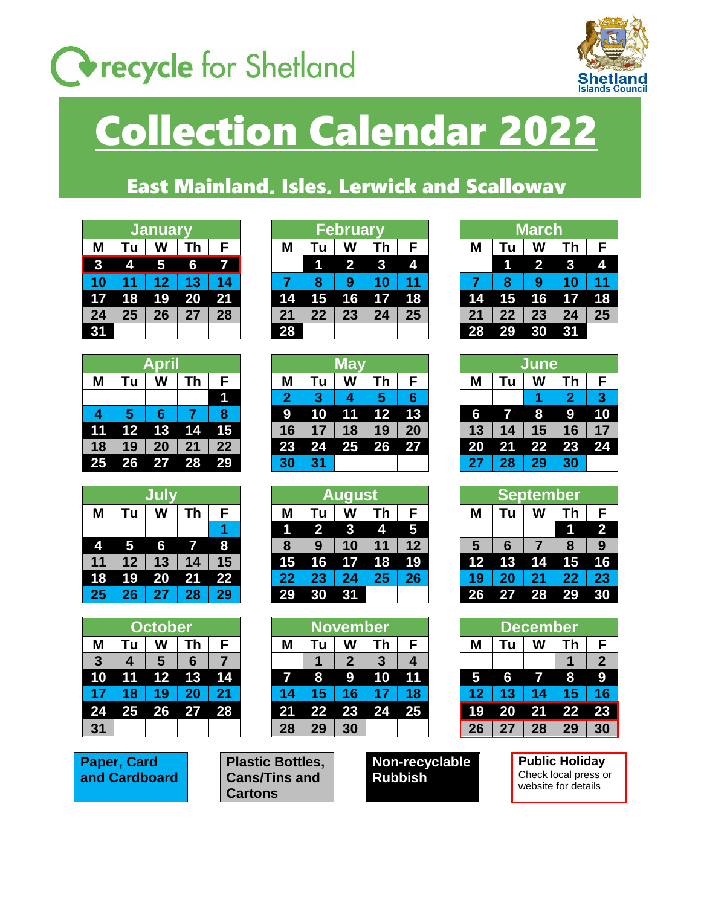## **Corecycle** for Shetland



## Collection Calendar 2022

## East Mainland, Isles, Lerwick and Scalloway

| <b>Januar</b> |    |    |    |    |  |  |  |  |  |
|---------------|----|----|----|----|--|--|--|--|--|
|               | Tu | W  | Th | F  |  |  |  |  |  |
| 3             | 4  | 5  | 6  | Ĩ/ |  |  |  |  |  |
| 10            | 11 | 12 | 13 | 14 |  |  |  |  |  |
| 17            | 18 | 19 | 20 | 21 |  |  |  |  |  |
| 24            | 25 | 26 | 27 | 28 |  |  |  |  |  |
| 24            |    |    |    |    |  |  |  |  |  |

| Apr <u>il</u> |    |    |    |    |  |  |  |  |  |
|---------------|----|----|----|----|--|--|--|--|--|
|               | Tu | W  | Th | F  |  |  |  |  |  |
|               |    |    |    |    |  |  |  |  |  |
| 4             | 5  | 6  |    | 8  |  |  |  |  |  |
| 11            | 12 | 13 | 14 | 15 |  |  |  |  |  |
| 18            | 19 | 20 | 21 | 22 |  |  |  |  |  |
| 25            | 26 | 27 | 28 | 29 |  |  |  |  |  |

|    | Tu | W  | Th | F               |  |  |  |  |  |
|----|----|----|----|-----------------|--|--|--|--|--|
|    |    |    |    |                 |  |  |  |  |  |
| 4  | 5  | 6  |    | 8               |  |  |  |  |  |
| 11 | 12 | 13 | 14 | 15              |  |  |  |  |  |
| 18 | 19 | 20 | 21 | $\overline{2}2$ |  |  |  |  |  |
| 25 | 26 | 27 | 28 | 29              |  |  |  |  |  |

| October        |    |                |    |    |  |  |  |  |  |
|----------------|----|----------------|----|----|--|--|--|--|--|
| М              | Tu | W              | Th | F  |  |  |  |  |  |
| $\overline{3}$ | 4  | $5\phantom{1}$ | 6  | 7  |  |  |  |  |  |
| 10             | 11 | 12             | 13 | 14 |  |  |  |  |  |
| 17             | 18 | 19             | 20 | 21 |  |  |  |  |  |
| 24             | 25 | 26             | 27 | 28 |  |  |  |  |  |
| 31             |    |                |    |    |  |  |  |  |  |

**Paper, Card and Cardboard**

|                         | Z0 1 ZY |  |
|-------------------------|---------|--|
|                         |         |  |
| <b>Plastic Bottles,</b> |         |  |
| <b>Cans/Tins and</b>    |         |  |
| <b>Cartons</b>          |         |  |

|    | <b>January</b> |    |    |    | <b>February</b> |    |    |    |    |    | <b>March</b> |                         |    |    |
|----|----------------|----|----|----|-----------------|----|----|----|----|----|--------------|-------------------------|----|----|
| M  | u              | W  | Γh |    | M               |    | W  | Гh | F  | Μ  | Tu           | W                       | Гh | F  |
| 3  | 4              | 5  | 6  | 7. |                 |    |    |    | 4  |    |              | $\overline{\mathbf{2}}$ |    |    |
| 10 |                |    |    |    |                 | 8  | 9  |    | 11 |    | 8            | g                       |    | 11 |
| 17 | 18             | 19 | 20 | 21 | 14              | 15 | 16 | 17 | 18 | 14 | 15           | 16                      | 17 | 18 |
| 24 | 25             | 26 | 27 | 28 | 21              | 22 | 23 | 24 | 25 | 21 | 22           | 23                      | 24 | 25 |
| 31 |                |    |    |    | 28              |    |    |    |    | 28 | 29           | 30                      |    |    |

|    |    | <b>April</b> |    |                 |                |    | May        |                 |    |  |    | <b>June</b> |    |    |  |  |
|----|----|--------------|----|-----------------|----------------|----|------------|-----------------|----|--|----|-------------|----|----|--|--|
| M  |    | W            | Гh |                 | Μ              | Τu | W          | Th              | F  |  | Μ  | Tu          | W  | Τh |  |  |
|    |    |              |    |                 | $\overline{2}$ | 3  |            | 5               | 6  |  |    |             |    |    |  |  |
| 4  |    | 6            |    |                 | 9              | 10 | 11         | 12 <sup>7</sup> | 13 |  | 6  |             | 8  | 9  |  |  |
| 11 |    | 12 13        | 14 | 15 <sub>l</sub> | 16             |    | 18         | 19              | 20 |  | 13 | 14          | 15 | 16 |  |  |
| 18 | 19 | 20           | 21 | 22              | 23             | 24 | <b>257</b> | 26              | 27 |  | 20 | 21          | 22 | 23 |  |  |
| 25 | 26 | 27           | 28 | 29              | 30             | 31 |            |                 |    |  | 27 | 28          | 29 | 30 |  |  |

|    |    |    |    |    | August |    |    |    |                         |    |    | September |    |                         |
|----|----|----|----|----|--------|----|----|----|-------------------------|----|----|-----------|----|-------------------------|
| M  |    | W  | Гh |    | M      | Τu | W  | Γh | F                       | M  | Tu | W         | Th | F                       |
|    |    |    |    |    |        |    |    | 4  | $\overline{\mathbf{5}}$ |    |    |           |    | $\overline{\mathbf{2}}$ |
| 4  | 5  | 6  |    | 8  | 8      | 9  |    | 1  | 12                      | 5  | 6  |           | 8  | 9                       |
| 11 | 12 | 13 | 14 | 15 | 15     | 16 | 17 | 18 | 19                      | 12 | 13 | 14        | 15 | 16                      |
| 18 | 19 | 20 | 21 | 22 | 22     | 23 |    | 25 | 26                      | 19 |    | 21        | 22 | 23                      |
| 25 | 26 | 27 | 28 | 29 | 29     | 30 | 31 |    |                         | 26 |    | <b>28</b> | 29 | 30                      |

|              | <b>October</b> |                   |    |       |  | <b>November</b> |    |    |    |    | December |    |    |                 |    |  |
|--------------|----------------|-------------------|----|-------|--|-----------------|----|----|----|----|----------|----|----|-----------------|----|--|
| M            |                | W                 | Гh |       |  | Μ               | Τu | W  | Τh | F  | Μ        | Τu | W  | Гh              | F  |  |
| $\mathbf{3}$ |                | 5                 | 6  |       |  |                 |    |    | 3  |    |          |    |    |                 | 2  |  |
| 10           |                | $12 \overline{ }$ | 13 | 14    |  |                 | 8  | 9  | 10 | 11 |          | 6  |    | 8               | 9  |  |
| 17           | 18             | 19                |    |       |  | 14              |    |    |    | 18 |          |    |    | 15              | 16 |  |
| 24           | 25             | 26                | 27 | $-28$ |  | 21              | 22 | 23 | 24 | 25 | 19       | 20 | 21 | 22              | 23 |  |
| 31           |                |                   |    |       |  | 28              | 29 | 30 |    |    | 26       | 27 | 28 | 29 <sub>2</sub> | 30 |  |

**Non-recyclable Rubbish**

| March |    |    |    |    |  |  |  |  |  |
|-------|----|----|----|----|--|--|--|--|--|
|       | Tu |    | Th | F  |  |  |  |  |  |
|       |    | 2  | 3  |    |  |  |  |  |  |
|       | 8  | 9  | 10 | 11 |  |  |  |  |  |
| 14    | 15 | 16 | 17 | 18 |  |  |  |  |  |
| 21    | 22 | 23 | 24 | 25 |  |  |  |  |  |
| 28    | 29 |    | 31 |    |  |  |  |  |  |

| <b>June</b> |    |    |                |    |  |  |  |  |  |
|-------------|----|----|----------------|----|--|--|--|--|--|
|             | Tu |    | Th             | F  |  |  |  |  |  |
|             |    |    | $\overline{2}$ | 3  |  |  |  |  |  |
| 6           |    | 8  | 9              | 10 |  |  |  |  |  |
| 13          | 14 | 15 | 16             | 17 |  |  |  |  |  |
| 20          | 21 | 22 | 23             | 24 |  |  |  |  |  |
| 27          | 28 | 29 | 30             |    |  |  |  |  |  |

| <b>September</b> |          |    |    |                |  |  |  |  |  |
|------------------|----------|----|----|----------------|--|--|--|--|--|
|                  | Tu<br>Th |    |    |                |  |  |  |  |  |
|                  |          |    |    | $\overline{2}$ |  |  |  |  |  |
| 5                | 6        | 7  | 8  | 9              |  |  |  |  |  |
| 12               | 13       | 14 | 15 | 16             |  |  |  |  |  |
| 19               | 20       | 21 | 22 | 23             |  |  |  |  |  |
| 26               | 27       | 28 | 29 |                |  |  |  |  |  |

| December |    |    |    |              |
|----------|----|----|----|--------------|
|          | Tu |    | Th | F            |
|          |    |    |    | $\mathbf{2}$ |
| 5        | R, |    | 8  | q            |
| 12       | 13 | 14 | 15 | 16           |
| 19       | 20 | 21 | 22 | 23           |
| 26       | 27 | 28 | 29 |              |

**Public Holiday** Check local press or website for details